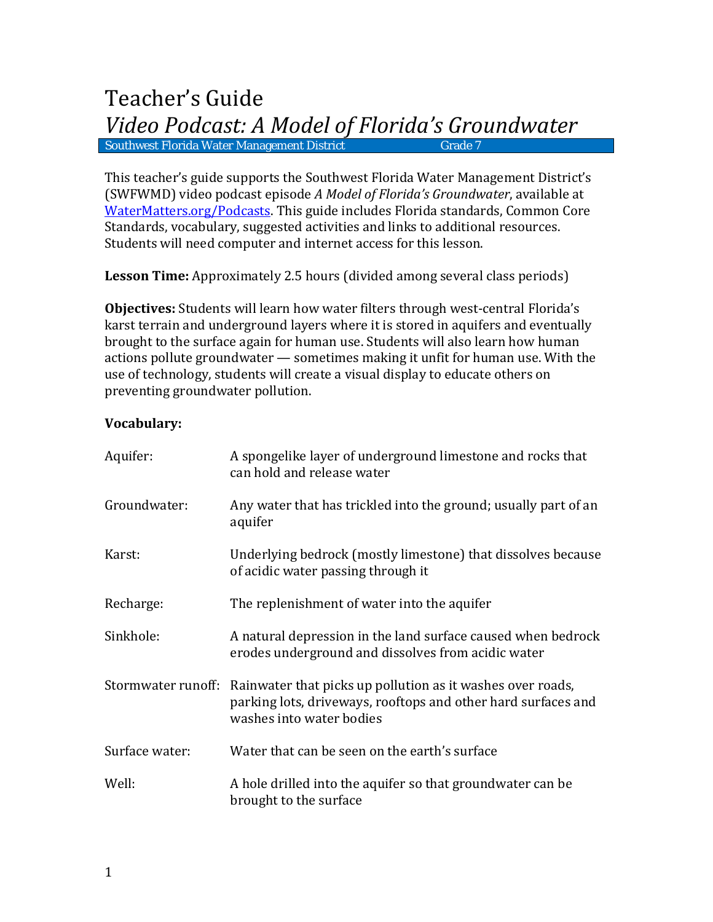# Teacher's Guide *Video Podcast: A Model of Florida's Groundwater* Southwest Florida Water Management District

This teacher's guide supports the Southwest Florida Water Management District's (SWFWMD) video podcast episode *A Model of Florida's Groundwater*, available at [WaterMatters.org/Podcasts.](http://www.watermatters.org/podcasts) This guide includes Florida standards, Common Core Standards, vocabulary, suggested activities and links to additional resources. Students will need computer and internet access for this lesson.

**Lesson Time:** Approximately 2.5 hours (divided among several class periods)

**Objectives:** Students will learn how water filters through west-central Florida's karst terrain and underground layers where it is stored in aquifers and eventually brought to the surface again for human use. Students will also learn how human actions pollute groundwater — sometimes making it unfit for human use. With the use of technology, students will create a visual display to educate others on preventing groundwater pollution.

# **Vocabulary:**

| Aquifer:           | A spongelike layer of underground limestone and rocks that<br>can hold and release water                                                                |
|--------------------|---------------------------------------------------------------------------------------------------------------------------------------------------------|
| Groundwater:       | Any water that has trickled into the ground; usually part of an<br>aquifer                                                                              |
| Karst:             | Underlying bedrock (mostly limestone) that dissolves because<br>of acidic water passing through it                                                      |
| Recharge:          | The replenishment of water into the aquifer                                                                                                             |
| Sinkhole:          | A natural depression in the land surface caused when bedrock<br>erodes underground and dissolves from acidic water                                      |
| Stormwater runoff: | Rainwater that picks up pollution as it washes over roads,<br>parking lots, driveways, rooftops and other hard surfaces and<br>washes into water bodies |
| Surface water:     | Water that can be seen on the earth's surface                                                                                                           |
| Well:              | A hole drilled into the aquifer so that groundwater can be<br>brought to the surface                                                                    |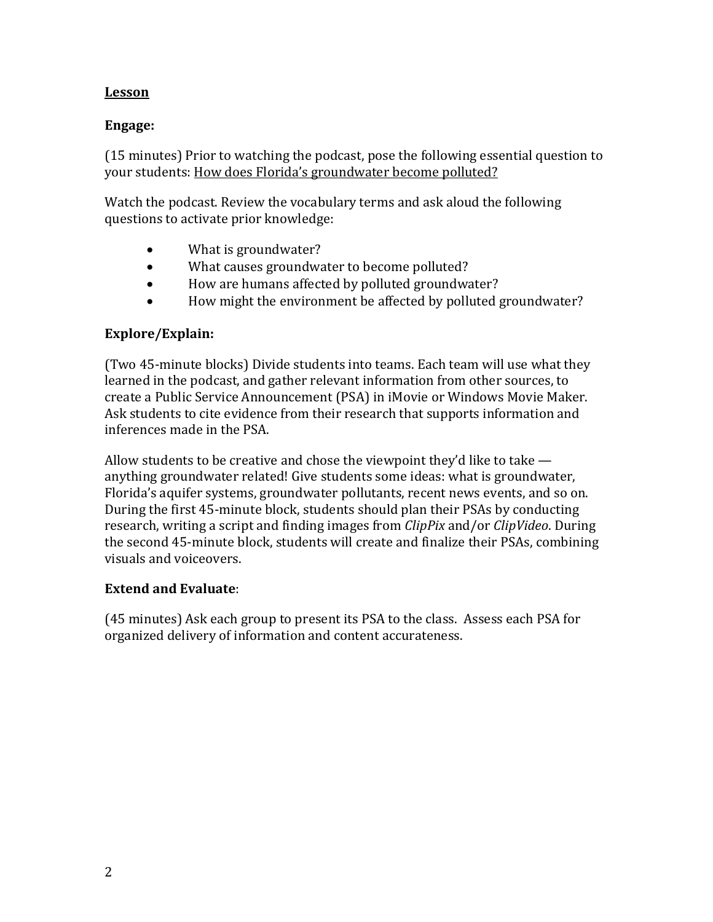### **Lesson**

#### **Engage:**

(15 minutes) Prior to watching the podcast, pose the following essential question to your students: How does Florida's groundwater become polluted?

Watch the podcast. Review the vocabulary terms and ask aloud the following questions to activate prior knowledge:

- What is groundwater?
- What causes groundwater to become polluted?
- How are humans affected by polluted groundwater?
- How might the environment be affected by polluted groundwater?

#### **Explore/Explain:**

(Two 45-minute blocks) Divide students into teams. Each team will use what they learned in the podcast, and gather relevant information from other sources, to create a Public Service Announcement (PSA) in iMovie or Windows Movie Maker. Ask students to cite evidence from their research that supports information and inferences made in the PSA.

Allow students to be creative and chose the viewpoint they'd like to take anything groundwater related! Give students some ideas: what is groundwater, Florida's aquifer systems, groundwater pollutants, recent news events, and so on. During the first 45-minute block, students should plan their PSAs by conducting research, writing a script and finding images from *ClipPix* and/or *ClipVideo*. During the second 45-minute block, students will create and finalize their PSAs, combining visuals and voiceovers.

#### **Extend and Evaluate**:

(45 minutes) Ask each group to present its PSA to the class. Assess each PSA for organized delivery of information and content accurateness.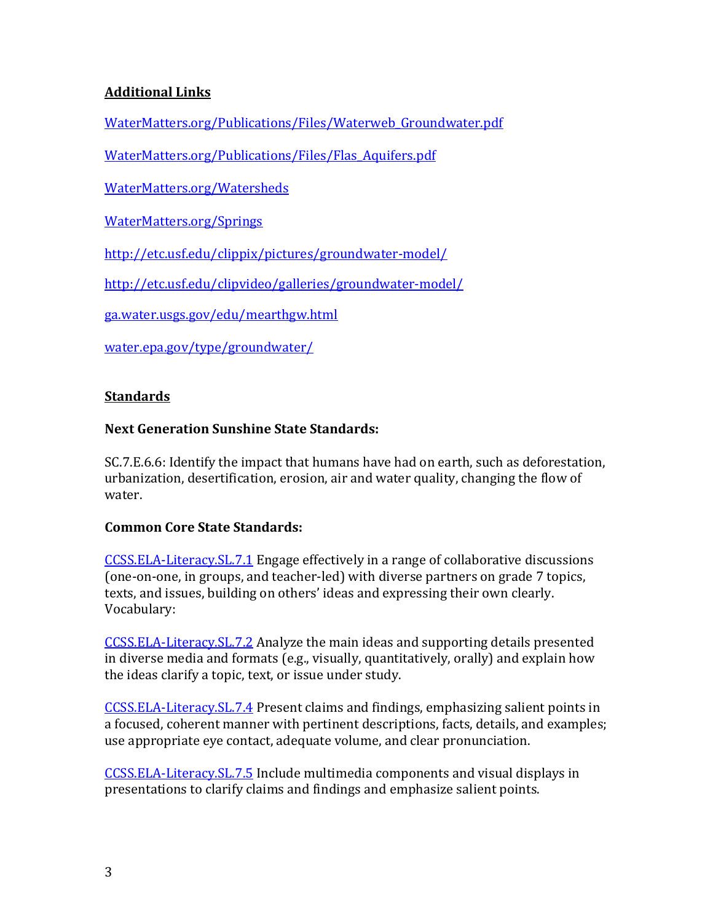# **Additional Links**

[WaterMatters.org/Publications/Files/Waterweb\\_Groundwater.pdf](http://www.watermatters.org/publications/files/waterweb_groundwater.pdf)

[WaterMatters.org/Publications/Files/Flas\\_Aquifers.pdf](http://www.watermatters.org/publications/files/flas_aquifers.pdf)

[WaterMatters.org/Watersheds](http://www.watermatters.org/watersheds)

[WaterMatters.org/Springs](http://www.watermatters.org/springs)

<http://etc.usf.edu/clippix/pictures/groundwater-model/>

<http://etc.usf.edu/clipvideo/galleries/groundwater-model/>

[ga.water.usgs.gov/edu/mearthgw.html](http://ga.water.usgs.gov/edu/mearthgw.html)

[water.epa.gov/type/groundwater/](http://water.epa.gov/type/groundwater/)

## **Standards**

## **Next Generation Sunshine State Standards:**

SC.7.E.6.6: Identify the impact that humans have had on earth, such as deforestation, urbanization, desertification, erosion, air and water quality, changing the flow of water.

## **Common Core State Standards:**

[CCSS.ELA-Literacy.SL.7.1](http://www.corestandards.org/ELA-Literacy/SL/7/1/) Engage effectively in a range of collaborative discussions (one-on-one, in groups, and teacher-led) with diverse partners on grade 7 topics, texts, and issues, building on others' ideas and expressing their own clearly. Vocabulary:

[CCSS.ELA-Literacy.SL.7.2](http://www.corestandards.org/ELA-Literacy/SL/7/2/) Analyze the main ideas and supporting details presented in diverse media and formats (e.g., visually, quantitatively, orally) and explain how the ideas clarify a topic, text, or issue under study.

[CCSS.ELA-Literacy.SL.7.4](http://www.corestandards.org/ELA-Literacy/SL/7/4/) Present claims and findings, emphasizing salient points in a focused, coherent manner with pertinent descriptions, facts, details, and examples; use appropriate eye contact, adequate volume, and clear pronunciation.

[CCSS.ELA-Literacy.SL.7.5](http://www.corestandards.org/ELA-Literacy/SL/7/5/) Include multimedia components and visual displays in presentations to clarify claims and findings and emphasize salient points.